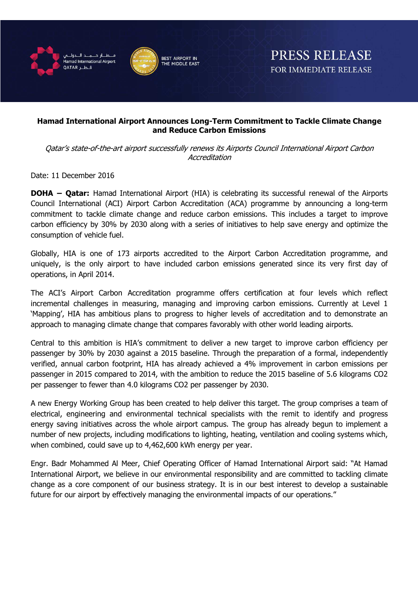



## **Hamad International Airport Announces Long-Term Commitment to Tackle Climate Change and Reduce Carbon Emissions**

Qatar's state-of-the-art airport successfully renews its Airports Council International Airport Carbon **Accreditation** 

Date: 11 December 2016

**DOHA – Qatar:** Hamad International Airport (HIA) is celebrating its successful renewal of the Airports Council International (ACI) Airport Carbon Accreditation (ACA) programme by announcing a long-term commitment to tackle climate change and reduce carbon emissions. This includes a target to improve carbon efficiency by 30% by 2030 along with a series of initiatives to help save energy and optimize the consumption of vehicle fuel.

Globally, HIA is one of 173 airports accredited to the Airport Carbon Accreditation programme, and uniquely, is the only airport to have included carbon emissions generated since its very first day of operations, in April 2014.

The ACI's Airport Carbon Accreditation programme offers certification at four levels which reflect incremental challenges in measuring, managing and improving carbon emissions. Currently at Level 1 'Mapping', HIA has ambitious plans to progress to higher levels of accreditation and to demonstrate an approach to managing climate change that compares favorably with other world leading airports.

Central to this ambition is HIA's commitment to deliver a new target to improve carbon efficiency per passenger by 30% by 2030 against a 2015 baseline. Through the preparation of a formal, independently verified, annual carbon footprint, HIA has already achieved a 4% improvement in carbon emissions per passenger in 2015 compared to 2014, with the ambition to reduce the 2015 baseline of 5.6 kilograms CO2 per passenger to fewer than 4.0 kilograms CO2 per passenger by 2030.

A new Energy Working Group has been created to help deliver this target. The group comprises a team of electrical, engineering and environmental technical specialists with the remit to identify and progress energy saving initiatives across the whole airport campus. The group has already begun to implement a number of new projects, including modifications to lighting, heating, ventilation and cooling systems which, when combined, could save up to 4,462,600 kWh energy per year.

Engr. Badr Mohammed Al Meer, Chief Operating Officer of Hamad International Airport said: "At Hamad International Airport, we believe in our environmental responsibility and are committed to tackling climate change as a core component of our business strategy. It is in our best interest to develop a sustainable future for our airport by effectively managing the environmental impacts of our operations."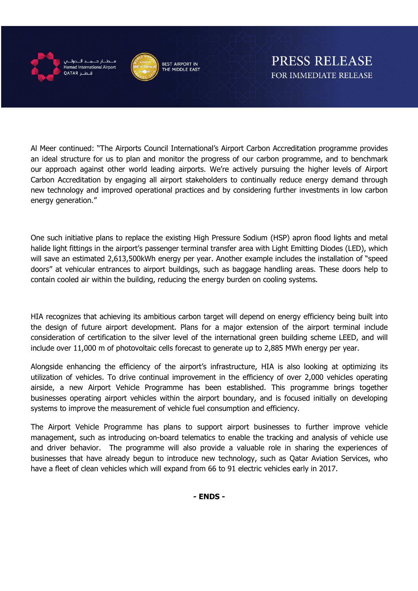

amad International Airport قط QATAR



PRESS RELEASE FOR IMMEDIATE RELEASE

Al Meer continued: "The Airports Council International's Airport Carbon Accreditation programme provides an ideal structure for us to plan and monitor the progress of our carbon programme, and to benchmark our approach against other world leading airports. We're actively pursuing the higher levels of Airport Carbon Accreditation by engaging all airport stakeholders to continually reduce energy demand through new technology and improved operational practices and by considering further investments in low carbon energy generation."

One such initiative plans to replace the existing High Pressure Sodium (HSP) apron flood lights and metal halide light fittings in the airport's passenger terminal transfer area with Light Emitting Diodes (LED), which will save an estimated 2,613,500kWh energy per year. Another example includes the installation of "speed doors" at vehicular entrances to airport buildings, such as baggage handling areas. These doors help to contain cooled air within the building, reducing the energy burden on cooling systems.

HIA recognizes that achieving its ambitious carbon target will depend on energy efficiency being built into the design of future airport development. Plans for a major extension of the airport terminal include consideration of certification to the silver level of the international green building scheme LEED, and will include over 11,000 m of photovoltaic cells forecast to generate up to 2,885 MWh energy per year.

Alongside enhancing the efficiency of the airport's infrastructure, HIA is also looking at optimizing its utilization of vehicles. To drive continual improvement in the efficiency of over 2,000 vehicles operating airside, a new Airport Vehicle Programme has been established. This programme brings together businesses operating airport vehicles within the airport boundary, and is focused initially on developing systems to improve the measurement of vehicle fuel consumption and efficiency.

The Airport Vehicle Programme has plans to support airport businesses to further improve vehicle management, such as introducing on-board telematics to enable the tracking and analysis of vehicle use and driver behavior. The programme will also provide a valuable role in sharing the experiences of businesses that have already begun to introduce new technology, such as Qatar Aviation Services, who have a fleet of clean vehicles which will expand from 66 to 91 electric vehicles early in 2017.

**- ENDS -**